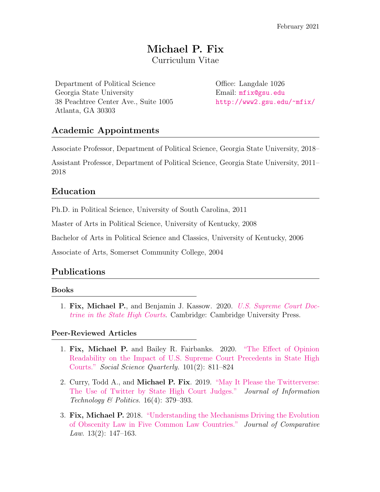# Michael P. Fix Curriculum Vitae

Department of Political Science Office: Langdale 1026 Georgia State University Email: [mfix@gsu.edu](mailto:mfix@gsu.edu) 38 Peachtree Center Ave., Suite 1005 <http://www2.gsu.edu/~mfix/> Atlanta, GA 30303

## Academic Appointments

Associate Professor, Department of Political Science, Georgia State University, 2018–

Assistant Professor, Department of Political Science, Georgia State University, 2011– 2018

### Education

Ph.D. in Political Science, University of South Carolina, 2011

Master of Arts in Political Science, University of Kentucky, 2008

Bachelor of Arts in Political Science and Classics, University of Kentucky, 2006

Associate of Arts, Somerset Community College, 2004

## Publications

#### Books

1. Fix, Michael P., and Benjamin J. Kassow. 2020. [U.S. Supreme Court Doc](https://t.co/PW3KyFJGLe?amp=1)[trine in the State High Courts](https://t.co/PW3KyFJGLe?amp=1). Cambridge: Cambridge University Press.

### Peer-Reviewed Articles

- 1. Fix, Michael P. and Bailey R. Fairbanks. 2020. ["The Effect of Opinion](https://onlinelibrary.wiley.com/doi/abs/10.1111/ssqu.12752) [Readability on the Impact of U.S. Supreme Court Precedents in State High](https://onlinelibrary.wiley.com/doi/abs/10.1111/ssqu.12752) [Courts."](https://onlinelibrary.wiley.com/doi/abs/10.1111/ssqu.12752) Social Science Quarterly. 101(2): 811–824
- 2. Curry, Todd A., and Michael P. Fix. 2019. ["May It Please the Twitterverse:](https://www.tandfonline.com/doi/abs/10.1080/19331681.2019.1657048) [The Use of Twitter by State High Court Judges."](https://www.tandfonline.com/doi/abs/10.1080/19331681.2019.1657048) Journal of Information Technology & Politics.  $16(4)$ : 379–393.
- 3. Fix, Michael P. 2018. ["Understanding the Mechanisms Driving the Evolution](https://heinonline.org/HOL/LandingPage?handle=hein.journals/jrnatila13&div=34&id=&page=) [of Obscenity Law in Five Common Law Countries."](https://heinonline.org/HOL/LandingPage?handle=hein.journals/jrnatila13&div=34&id=&page=) Journal of Comparative Law. 13(2): 147–163.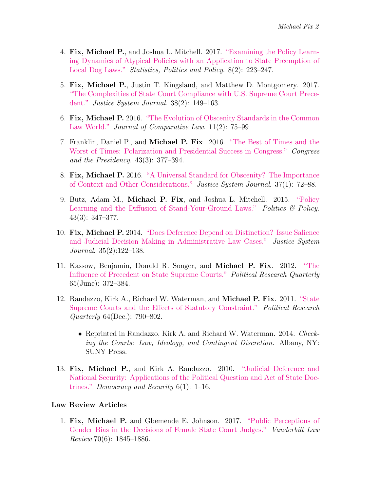- 4. Fix, Michael P., and Joshua L. Mitchell. 2017. ["Examining the Policy Learn](https://www.degruyter.com/view/journals/spp/8/2/article-p223.xml)[ing Dynamics of Atypical Policies with an Application to State Preemption of](https://www.degruyter.com/view/journals/spp/8/2/article-p223.xml) [Local Dog Laws."](https://www.degruyter.com/view/journals/spp/8/2/article-p223.xml) *Statistics, Politics and Policy.* 8(2): 223–247.
- 5. Fix, Michael P., Justin T. Kingsland, and Matthew D. Montgomery. 2017. ["The Complexities of State Court Compliance with U.S. Supreme Court Prece](https://www.tandfonline.com/doi/abs/10.1080/0098261X.2016.1274245)[dent."](https://www.tandfonline.com/doi/abs/10.1080/0098261X.2016.1274245) Justice System Journal. 38(2): 149–163.
- 6. Fix, Michael P. 2016. ["The Evolution of Obscenity Standards in the Common](https://heinonline.org/HOL/LandingPage?handle=hein.journals/jrnatila11&div=25&id=&page=) [Law World."](https://heinonline.org/HOL/LandingPage?handle=hein.journals/jrnatila11&div=25&id=&page=) Journal of Comparative Law. 11(2): 75–99
- 7. Franklin, Daniel P., and Michael P. Fix. 2016. ["The Best of Times and the](https://www.tandfonline.com/doi/abs/10.1080/07343469.2016.1206638) [Worst of Times: Polarization and Presidential Success in Congress."](https://www.tandfonline.com/doi/abs/10.1080/07343469.2016.1206638) Congress and the Presidency. 43(3): 377–394.
- 8. Fix, Michael P. 2016. ["A Universal Standard for Obscenity? The Importance](https://www.tandfonline.com/doi/abs/10.1080/0098261X.2015.1042601) [of Context and Other Considerations."](https://www.tandfonline.com/doi/abs/10.1080/0098261X.2015.1042601) Justice System Journal. 37(1): 72–88.
- 9. Butz, Adam M., Michael P. Fix, and Joshua L. Mitchell. 2015. ["Policy](https://onlinelibrary.wiley.com/doi/abs/10.1111/polp.12116) [Learning and the Diffusion of Stand-Your-Ground Laws."](https://onlinelibrary.wiley.com/doi/abs/10.1111/polp.12116) Politics  $\mathcal{C}$  Policy. 43(3): 347–377.
- 10. Fix, Michael P. 2014. ["Does Deference Depend on Distinction? Issue Salience](https://www.tandfonline.com/doi/abs/10.1080/0098261X.2013.868283) [and Judicial Decision Making in Administrative Law Cases."](https://www.tandfonline.com/doi/abs/10.1080/0098261X.2013.868283) Justice System Journal. 35(2):122–138.
- 11. Kassow, Benjamin, Donald R. Songer, and Michael P. Fix. 2012. ["The](https://journals.sagepub.com/doi/abs/10.1177/1065912910391477) [Influence of Precedent on State Supreme Courts."](https://journals.sagepub.com/doi/abs/10.1177/1065912910391477) Political Research Quarterly 65(June): 372–384.
- 12. Randazzo, Kirk A., Richard W. Waterman, and Michael P. Fix. 2011. ["State](https://journals.sagepub.com/doi/abs/10.1177/1065912910379229) [Supreme Courts and the Effects of Statutory Constraint."](https://journals.sagepub.com/doi/abs/10.1177/1065912910379229) Political Research Quarterly 64(Dec.): 790–802.
	- Reprinted in Randazzo, Kirk A. and Richard W. Waterman. 2014. Checking the Courts: Law, Ideology, and Contingent Discretion. Albany, NY: SUNY Press.
- 13. Fix, Michael P., and Kirk A. Randazzo. 2010. ["Judicial Deference and](https://www.tandfonline.com/doi/abs/10.1080/17419160903400944) [National Security: Applications of the Political Question and Act of State Doc](https://www.tandfonline.com/doi/abs/10.1080/17419160903400944)[trines."](https://www.tandfonline.com/doi/abs/10.1080/17419160903400944) Democracy and Security  $6(1)$ : 1–16.

#### Law Review Articles

1. Fix, Michael P. and Gbemende E. Johnson. 2017. ["Public Perceptions of](https://s3.amazonaws.com/vu-wp0/wp-content/uploads/sites/89/2017/11/28132902/Public-Perceptions-of-Gender-Bias-in-the-Decisions-of-Female-State-Court-Judges.pdf) [Gender Bias in the Decisions of Female State Court Judges."](https://s3.amazonaws.com/vu-wp0/wp-content/uploads/sites/89/2017/11/28132902/Public-Perceptions-of-Gender-Bias-in-the-Decisions-of-Female-State-Court-Judges.pdf) Vanderbilt Law Review 70(6): 1845–1886.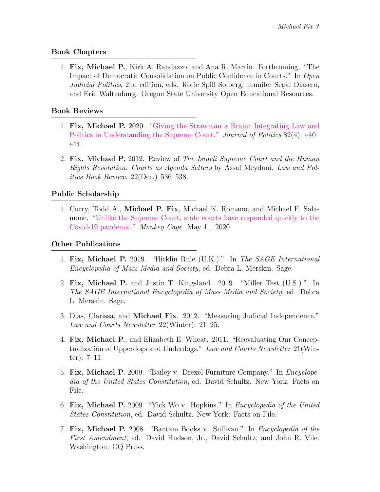#### Book Chapters

1. Fix, Michael P., Kirk A. Randazzo, and Ana R. Martin. Forthcoming. "The Impact of Democratic Consolidation on Public Confidence in Courts." In Open Judicial Politics, 2nd edition, eds. Rorie Spill Solberg, Jennifer Segal Diascro, and Eric Waltenburg. Oregon State University Open Educational Resources.

#### Book Reviews

- 1. Fix, Michael P. 2020. ["Giving the Strawman a Brain: Integrating Law and](https://www.journals.uchicago.edu/doi/abs/10.1086/709027?journalCode=jop) [Politics in Understanding the Supreme Court."](https://www.journals.uchicago.edu/doi/abs/10.1086/709027?journalCode=jop) Journal of Politics 82(4): e40– e44.
- 2. Fix, Michael P. 2012. Review of The Israeli Supreme Court and the Human Rights Revolution: Courts as Agenda Setters by Assaf Meydani. Law and Politics Book Review. 22(Dec.) 536–538.

### Public Scholarship

1. Curry, Todd A., Michael P. Fix, Michael K. Romano, and Michael F. Salamone. ["Unlike the Supreme Court, state courts have responded quickly to the](https://www.washingtonpost.com/politics/2020/05/11/unlike-supreme-court-state-courts-have-responded-quickly-pandemic-heres-why/) [Covid-19 pandemic."](https://www.washingtonpost.com/politics/2020/05/11/unlike-supreme-court-state-courts-have-responded-quickly-pandemic-heres-why/) Monkey Cage. May 11, 2020.

#### Other Publications

- 1. Fix, Michael P. 2019. "Hicklin Rule (U.K.)." In The SAGE International Encyclopedia of Mass Media and Society, ed. Debra L. Merskin. Sage.
- 2. Fix, Michael P. and Justin T. Kingsland. 2019. "Miller Test (U.S.)." In The SAGE International Encyclopedia of Mass Media and Society, ed. Debra L. Merskin. Sage.
- 3. Dias, Clarissa, and Michael Fix. 2012. "Measuring Judicial Independence." Law and Courts Newsletter 22(Winter): 21–25.
- 4. Fix, Michael P., and Elizabeth E. Wheat. 2011. "Reevaluating Our Conceptualization of Upperdogs and Underdogs." Law and Courts Newsletter 21 (Winter): 7–11.
- 5. Fix, Michael P. 2009. "Bailey v. Drexel Furniture Company." In Encyclopedia of the United States Constitution, ed. David Schultz. New York: Facts on File.
- 6. Fix, Michael P. 2009. "Yick Wo v. Hopkins." In Encyclopedia of the United States Constitution, ed. David Schultz. New York: Facts on File.
- 7. Fix, Michael P. 2008. "Bantam Books v. Sullivan." In Encyclopedia of the First Amendment, ed. David Hudson, Jr., David Schultz, and John R. Vile. Washington: CQ Press.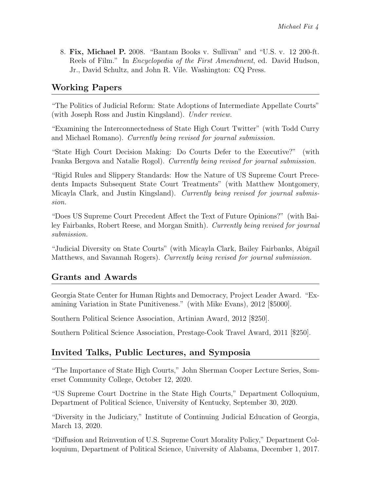8. Fix, Michael P. 2008. "Bantam Books v. Sullivan" and "U.S. v. 12 200-ft. Reels of Film." In Encyclopedia of the First Amendment, ed. David Hudson, Jr., David Schultz, and John R. Vile. Washington: CQ Press.

## Working Papers

"The Politics of Judicial Reform: State Adoptions of Intermediate Appellate Courts" (with Joseph Ross and Justin Kingsland). Under review.

"Examining the Interconnectedness of State High Court Twitter" (with Todd Curry and Michael Romano). Currently being revised for journal submission.

"State High Court Decision Making: Do Courts Defer to the Executive?" (with Ivanka Bergova and Natalie Rogol). Currently being revised for journal submission.

"Rigid Rules and Slippery Standards: How the Nature of US Supreme Court Precedents Impacts Subsequent State Court Treatments" (with Matthew Montgomery, Micayla Clark, and Justin Kingsland). Currently being revised for journal submission.

"Does US Supreme Court Precedent Affect the Text of Future Opinions?" (with Bailey Fairbanks, Robert Reese, and Morgan Smith). Currently being revised for journal submission.

"Judicial Diversity on State Courts" (with Micayla Clark, Bailey Fairbanks, Abigail Matthews, and Savannah Rogers). Currently being revised for journal submission.

## Grants and Awards

Georgia State Center for Human Rights and Democracy, Project Leader Award. "Examining Variation in State Punitiveness." (with Mike Evans), 2012 [\$5000].

Southern Political Science Association, Artinian Award, 2012 [\$250].

Southern Political Science Association, Prestage-Cook Travel Award, 2011 [\$250].

## Invited Talks, Public Lectures, and Symposia

"The Importance of State High Courts," John Sherman Cooper Lecture Series, Somerset Community College, October 12, 2020.

"US Supreme Court Doctrine in the State High Courts," Department Colloquium, Department of Political Science, University of Kentucky, September 30, 2020.

"Diversity in the Judiciary," Institute of Continuing Judicial Education of Georgia, March 13, 2020.

"Diffusion and Reinvention of U.S. Supreme Court Morality Policy," Department Colloquium, Department of Political Science, University of Alabama, December 1, 2017.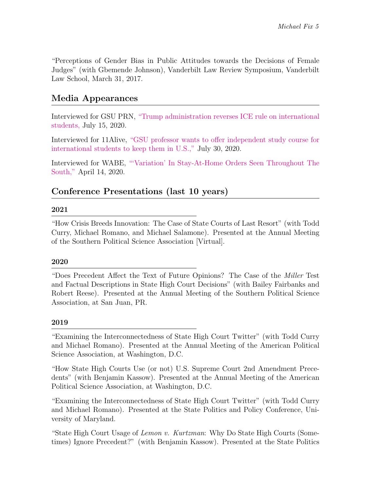"Perceptions of Gender Bias in Public Attitudes towards the Decisions of Female Judges" (with Gbemende Johnson), Vanderbilt Law Review Symposium, Vanderbilt Law School, March 31, 2017.

## Media Appearances

Interviewed for GSU PRN, ["Trump administration reverses ICE rule on international](https://gsuprn.com/trump-administration-reverses-ice-rule-on-international-students/) [students,](https://gsuprn.com/trump-administration-reverses-ice-rule-on-international-students/) July 15, 2020.

Interviewed for 11Alive, ["GSU professor wants to offer independent study course for](https://www.11alive.com/article/news/education/professor-wants-to-offer-independent-study-course-for-international-students/85-7b7d0b4b-63bd-4a23-ad85-52d2e6029670) [international students to keep them in U.S.,"](https://www.11alive.com/article/news/education/professor-wants-to-offer-independent-study-course-for-international-students/85-7b7d0b4b-63bd-4a23-ad85-52d2e6029670) July 30, 2020.

Interviewed for WABE, ["'Variation' In Stay-At-Home Orders Seen Throughout The](https://www.wabe.org/coronavirus-pandemic-showcases-variation-in-stay-at-home-orders-in-the-south/) [South,"](https://www.wabe.org/coronavirus-pandemic-showcases-variation-in-stay-at-home-orders-in-the-south/) April 14, 2020.

## Conference Presentations (last 10 years)

#### 2021

"How Crisis Breeds Innovation: The Case of State Courts of Last Resort" (with Todd Curry, Michael Romano, and Michael Salamone). Presented at the Annual Meeting of the Southern Political Science Association [Virtual].

### 2020

"Does Precedent Affect the Text of Future Opinions? The Case of the Miller Test and Factual Descriptions in State High Court Decisions" (with Bailey Fairbanks and Robert Reese). Presented at the Annual Meeting of the Southern Political Science Association, at San Juan, PR.

#### 2019

"Examining the Interconnectedness of State High Court Twitter" (with Todd Curry and Michael Romano). Presented at the Annual Meeting of the American Political Science Association, at Washington, D.C.

"How State High Courts Use (or not) U.S. Supreme Court 2nd Amendment Precedents" (with Benjamin Kassow). Presented at the Annual Meeting of the American Political Science Association, at Washington, D.C.

"Examining the Interconnectedness of State High Court Twitter" (with Todd Curry and Michael Romano). Presented at the State Politics and Policy Conference, University of Maryland.

"State High Court Usage of Lemon v. Kurtzman: Why Do State High Courts (Sometimes) Ignore Precedent?" (with Benjamin Kassow). Presented at the State Politics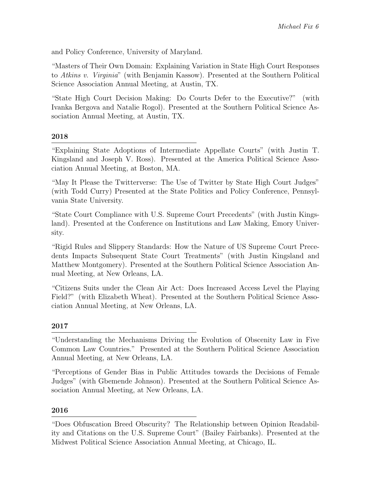and Policy Conference, University of Maryland.

"Masters of Their Own Domain: Explaining Variation in State High Court Responses to Atkins v. Virginia" (with Benjamin Kassow). Presented at the Southern Political Science Association Annual Meeting, at Austin, TX.

"State High Court Decision Making: Do Courts Defer to the Executive?" (with Ivanka Bergova and Natalie Rogol). Presented at the Southern Political Science Association Annual Meeting, at Austin, TX.

### 2018

"Explaining State Adoptions of Intermediate Appellate Courts" (with Justin T. Kingsland and Joseph V. Ross). Presented at the America Political Science Association Annual Meeting, at Boston, MA.

"May It Please the Twitterverse: The Use of Twitter by State High Court Judges" (with Todd Curry) Presented at the State Politics and Policy Conference, Pennsylvania State University.

"State Court Compliance with U.S. Supreme Court Precedents" (with Justin Kingsland). Presented at the Conference on Institutions and Law Making, Emory University.

"Rigid Rules and Slippery Standards: How the Nature of US Supreme Court Precedents Impacts Subsequent State Court Treatments" (with Justin Kingsland and Matthew Montgomery). Presented at the Southern Political Science Association Annual Meeting, at New Orleans, LA.

"Citizens Suits under the Clean Air Act: Does Increased Access Level the Playing Field?" (with Elizabeth Wheat). Presented at the Southern Political Science Association Annual Meeting, at New Orleans, LA.

### 2017

"Perceptions of Gender Bias in Public Attitudes towards the Decisions of Female Judges" (with Gbemende Johnson). Presented at the Southern Political Science Association Annual Meeting, at New Orleans, LA.

### 2016

<sup>&</sup>quot;Understanding the Mechanisms Driving the Evolution of Obscenity Law in Five Common Law Countries." Presented at the Southern Political Science Association Annual Meeting, at New Orleans, LA.

<sup>&</sup>quot;Does Obfuscation Breed Obscurity? The Relationship between Opinion Readability and Citations on the U.S. Supreme Court" (Bailey Fairbanks). Presented at the Midwest Political Science Association Annual Meeting, at Chicago, IL.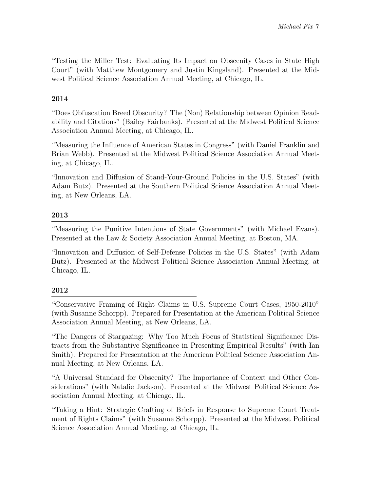"Testing the Miller Test: Evaluating Its Impact on Obscenity Cases in State High Court" (with Matthew Montgomery and Justin Kingsland). Presented at the Midwest Political Science Association Annual Meeting, at Chicago, IL.

### 2014

"Does Obfuscation Breed Obscurity? The (Non) Relationship between Opinion Readability and Citations" (Bailey Fairbanks). Presented at the Midwest Political Science Association Annual Meeting, at Chicago, IL.

"Measuring the Influence of American States in Congress" (with Daniel Franklin and Brian Webb). Presented at the Midwest Political Science Association Annual Meeting, at Chicago, IL.

"Innovation and Diffusion of Stand-Your-Ground Policies in the U.S. States" (with Adam Butz). Presented at the Southern Political Science Association Annual Meeting, at New Orleans, LA.

### 2013

"Measuring the Punitive Intentions of State Governments" (with Michael Evans). Presented at the Law & Society Association Annual Meeting, at Boston, MA.

"Innovation and Diffusion of Self-Defense Policies in the U.S. States" (with Adam Butz). Presented at the Midwest Political Science Association Annual Meeting, at Chicago, IL.

### 2012

"Conservative Framing of Right Claims in U.S. Supreme Court Cases, 1950-2010" (with Susanne Schorpp). Prepared for Presentation at the American Political Science Association Annual Meeting, at New Orleans, LA.

"The Dangers of Stargazing: Why Too Much Focus of Statistical Significance Distracts from the Substantive Significance in Presenting Empirical Results" (with Ian Smith). Prepared for Presentation at the American Political Science Association Annual Meeting, at New Orleans, LA.

"A Universal Standard for Obscenity? The Importance of Context and Other Considerations" (with Natalie Jackson). Presented at the Midwest Political Science Association Annual Meeting, at Chicago, IL.

"Taking a Hint: Strategic Crafting of Briefs in Response to Supreme Court Treatment of Rights Claims" (with Susanne Schorpp). Presented at the Midwest Political Science Association Annual Meeting, at Chicago, IL.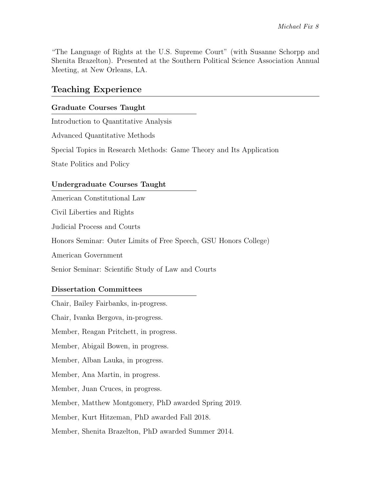"The Language of Rights at the U.S. Supreme Court" (with Susanne Schorpp and Shenita Brazelton). Presented at the Southern Political Science Association Annual Meeting, at New Orleans, LA.

## Teaching Experience

#### Graduate Courses Taught

Introduction to Quantitative Analysis

Advanced Quantitative Methods

Special Topics in Research Methods: Game Theory and Its Application

State Politics and Policy

#### Undergraduate Courses Taught

American Constitutional Law

Civil Liberties and Rights

Judicial Process and Courts

Honors Seminar: Outer Limits of Free Speech, GSU Honors College)

American Government

Senior Seminar: Scientific Study of Law and Courts

#### Dissertation Committees

Chair, Bailey Fairbanks, in-progress.

Chair, Ivanka Bergova, in-progress.

Member, Reagan Pritchett, in progress.

Member, Abigail Bowen, in progress.

Member, Alban Lauka, in progress.

Member, Ana Martin, in progress.

Member, Juan Cruces, in progress.

Member, Matthew Montgomery, PhD awarded Spring 2019.

Member, Kurt Hitzeman, PhD awarded Fall 2018.

Member, Shenita Brazelton, PhD awarded Summer 2014.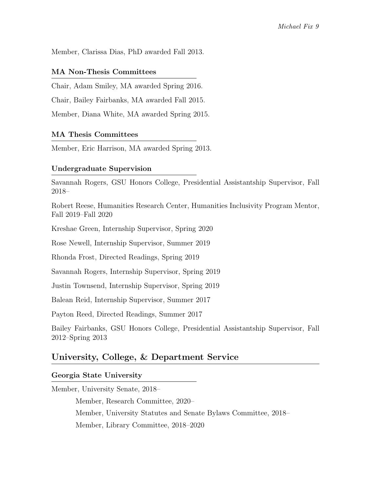Member, Clarissa Dias, PhD awarded Fall 2013.

#### MA Non-Thesis Committees

Chair, Adam Smiley, MA awarded Spring 2016.

Chair, Bailey Fairbanks, MA awarded Fall 2015.

Member, Diana White, MA awarded Spring 2015.

### MA Thesis Committees

Member, Eric Harrison, MA awarded Spring 2013.

#### Undergraduate Supervision

Savannah Rogers, GSU Honors College, Presidential Assistantship Supervisor, Fall 2018–

Robert Reese, Humanities Research Center, Humanities Inclusivity Program Mentor, Fall 2019–Fall 2020

Kreshae Green, Internship Supervisor, Spring 2020

Rose Newell, Internship Supervisor, Summer 2019

Rhonda Frost, Directed Readings, Spring 2019

Savannah Rogers, Internship Supervisor, Spring 2019

Justin Townsend, Internship Supervisor, Spring 2019

Balean Reid, Internship Supervisor, Summer 2017

Payton Reed, Directed Readings, Summer 2017

Bailey Fairbanks, GSU Honors College, Presidential Assistantship Supervisor, Fall 2012–Spring 2013

## University, College, & Department Service

#### Georgia State University

Member, University Senate, 2018–

Member, Research Committee, 2020– Member, University Statutes and Senate Bylaws Committee, 2018– Member, Library Committee, 2018–2020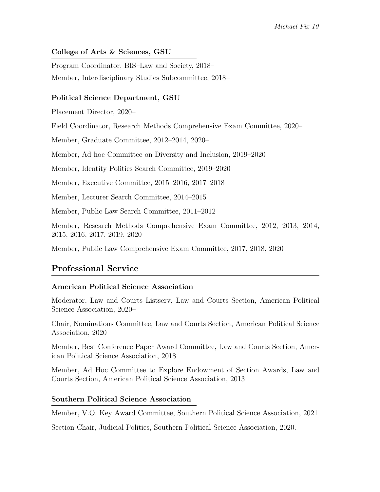### College of Arts & Sciences, GSU

Program Coordinator, BIS–Law and Society, 2018– Member, Interdisciplinary Studies Subcommittee, 2018–

### Political Science Department, GSU

Placement Director, 2020–

Field Coordinator, Research Methods Comprehensive Exam Committee, 2020–

Member, Graduate Committee, 2012–2014, 2020–

Member, Ad hoc Committee on Diversity and Inclusion, 2019–2020

Member, Identity Politics Search Committee, 2019–2020

Member, Executive Committee, 2015–2016, 2017–2018

Member, Lecturer Search Committee, 2014–2015

Member, Public Law Search Committee, 2011–2012

Member, Research Methods Comprehensive Exam Committee, 2012, 2013, 2014, 2015, 2016, 2017, 2019, 2020

Member, Public Law Comprehensive Exam Committee, 2017, 2018, 2020

## Professional Service

### American Political Science Association

Moderator, Law and Courts Listserv, Law and Courts Section, American Political Science Association, 2020–

Chair, Nominations Committee, Law and Courts Section, American Political Science Association, 2020

Member, Best Conference Paper Award Committee, Law and Courts Section, American Political Science Association, 2018

Member, Ad Hoc Committee to Explore Endowment of Section Awards, Law and Courts Section, American Political Science Association, 2013

### Southern Political Science Association

Member, V.O. Key Award Committee, Southern Political Science Association, 2021

Section Chair, Judicial Politics, Southern Political Science Association, 2020.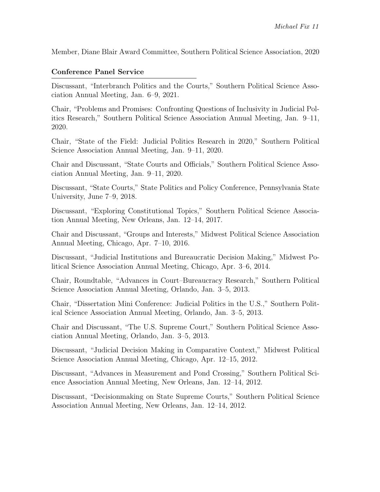Member, Diane Blair Award Committee, Southern Political Science Association, 2020

#### Conference Panel Service

Discussant, "Interbranch Politics and the Courts," Southern Political Science Association Annual Meeting, Jan. 6–9, 2021.

Chair, "Problems and Promises: Confronting Questions of Inclusivity in Judicial Politics Research," Southern Political Science Association Annual Meeting, Jan. 9–11, 2020.

Chair, "State of the Field: Judicial Politics Research in 2020," Southern Political Science Association Annual Meeting, Jan. 9–11, 2020.

Chair and Discussant, "State Courts and Officials," Southern Political Science Association Annual Meeting, Jan. 9–11, 2020.

Discussant, "State Courts," State Politics and Policy Conference, Pennsylvania State University, June 7–9, 2018.

Discussant, "Exploring Constitutional Topics," Southern Political Science Association Annual Meeting, New Orleans, Jan. 12–14, 2017.

Chair and Discussant, "Groups and Interests," Midwest Political Science Association Annual Meeting, Chicago, Apr. 7–10, 2016.

Discussant, "Judicial Institutions and Bureaucratic Decision Making," Midwest Political Science Association Annual Meeting, Chicago, Apr. 3–6, 2014.

Chair, Roundtable, "Advances in Court–Bureaucracy Research," Southern Political Science Association Annual Meeting, Orlando, Jan. 3–5, 2013.

Chair, "Dissertation Mini Conference: Judicial Politics in the U.S.," Southern Political Science Association Annual Meeting, Orlando, Jan. 3–5, 2013.

Chair and Discussant, "The U.S. Supreme Court," Southern Political Science Association Annual Meeting, Orlando, Jan. 3–5, 2013.

Discussant, "Judicial Decision Making in Comparative Context," Midwest Political Science Association Annual Meeting, Chicago, Apr. 12–15, 2012.

Discussant, "Advances in Measurement and Pond Crossing," Southern Political Science Association Annual Meeting, New Orleans, Jan. 12–14, 2012.

Discussant, "Decisionmaking on State Supreme Courts," Southern Political Science Association Annual Meeting, New Orleans, Jan. 12–14, 2012.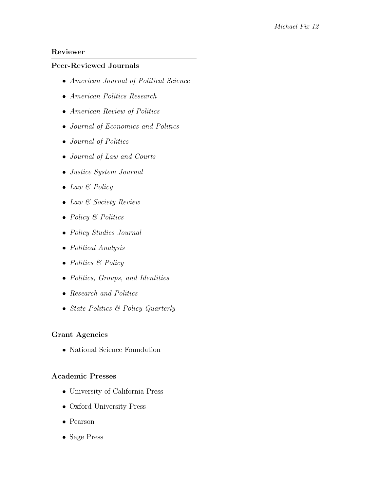#### Reviewer

#### Peer-Reviewed Journals

- American Journal of Political Science
- American Politics Research
- American Review of Politics
- Journal of Economics and Politics
- Journal of Politics
- Journal of Law and Courts
- Justice System Journal
- Law & Policy
- Law & Society Review
- Policy & Politics
- Policy Studies Journal
- Political Analysis
- Politics & Policy
- Politics, Groups, and Identities
- Research and Politics
- State Politics & Policy Quarterly

#### Grant Agencies

• National Science Foundation

#### Academic Presses

- University of California Press
- Oxford University Press
- Pearson
- Sage Press